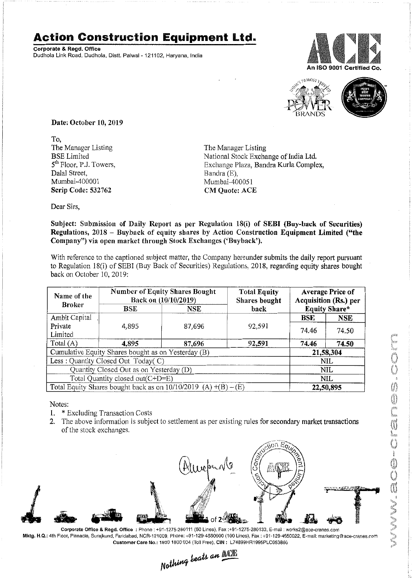## **Action Construction Equipment Ltd.**

Corporate & Regd.Office Dudhola Link Road, Dudhola, Distt. Palwal- 121102, Haryana, India





Date: October 10,2019

To, The Manager Listing BSE Limited 5<sup>th</sup> Floor, P.J. Towers, Dalal Street, Mumbai-400001 Scrip Code: 532762

The Manager Listing National Stock Exchange of India Ltd. Exchange Plaza, Bandra Kurla Complex, Bandra (E), Mumbai-400051 CM Quote: ACE

Dear Sirs,

Subject: Submission of Daily Report as per Regulation 18(i) of SEBI (Buy-back of Securities) Regulations, 2018 - Buyback of equity shares by Action Construction Equipment Limited ("the Company") via open market through Stock Exchanges ('Buyback').

With reference to the captioned subject matter, the Company hereunder submits the daily report pursuant to Regulation 18(i) of SEBI (Buy Back of Securities) Regulations, 2018, regarding equity shares bought back on October 10,2019:

| Name of the<br><b>Broker</b>                                        | <b>Number of Equity Shares Bought</b><br>Back on (10/10/2019) |            | <b>Total Equity</b><br><b>Shares bought</b> | <b>Average Price of</b><br>Acquisition (Rs.) per |            |  |
|---------------------------------------------------------------------|---------------------------------------------------------------|------------|---------------------------------------------|--------------------------------------------------|------------|--|
|                                                                     | BSE                                                           | <b>NSE</b> | back                                        | <b>Equity Share*</b>                             |            |  |
| Ambit Capital                                                       |                                                               |            |                                             | <b>BSE</b>                                       | <b>NSE</b> |  |
| Private                                                             | 4.895                                                         | 87,696     | 92,591                                      | 74.46                                            | 74.50      |  |
| Limited                                                             |                                                               |            |                                             |                                                  |            |  |
| Total $(A)$                                                         | 4,895                                                         | 87,696     | 92,591                                      | 74.46                                            | 74.50      |  |
| Cumulative Equity Shares bought as on Yesterday (B)                 |                                                               |            |                                             |                                                  | 21,58,304  |  |
| Less: Quantity Closed Out Today(C)                                  |                                                               |            |                                             | NIL                                              |            |  |
| Quantity Closed Out as on Yesterday (D)                             |                                                               |            |                                             | NIL                                              |            |  |
| Total Quantity closed out(C+D=E)                                    |                                                               |            |                                             | NIL.                                             |            |  |
| Total Equity Shares bought back as on $10/10/2019$ (A) $+(B) - (E)$ |                                                               |            |                                             | 22,50,895                                        |            |  |

Notes:

- 1. \* Excluding Transaction Costs
- 2. The above information is subject to settlement as per existing rules for secondary market transactions of the stock exchanges.



Corporate Office & Regd. Office: Phone: +91-1275-280111 (50 Lines), Fax:+91-1275-280133, E-mail: works2@ace-cranes.com Mktg. H.Q.: 4th Floor, Pinnacle, Surajkund, Faridabad, NCR-121009, Phone: +91-129-4550000 (100 Lines), Fax: +91-129-4550022, E-mail: marketing@ace-cranes.com